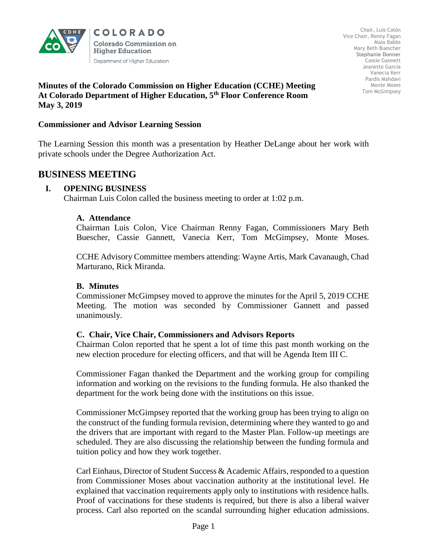

COLORADO Colorado Commission on **Higher Education** Department of Higher Education

Chair, Luis Colón Vice Chair, Renny Fagan Maia Babbs Mary Beth Buescher **Stephanie Donner**  Cassie Gannett Jeanette Garcia Vanecia Kerr Pardis Mahdavi Monte Moses Tom McGimpsey

## **Minutes of the Colorado Commission on Higher Education (CCHE) Meeting At Colorado Department of Higher Education, 5th Floor Conference Room May 3, 2019**

### **Commissioner and Advisor Learning Session**

The Learning Session this month was a presentation by Heather DeLange about her work with private schools under the Degree Authorization Act.

# **BUSINESS MEETING**

## **I. OPENING BUSINESS**

Chairman Luis Colon called the business meeting to order at 1:02 p.m.

## **A. Attendance**

Chairman Luis Colon, Vice Chairman Renny Fagan, Commissioners Mary Beth Buescher, Cassie Gannett, Vanecia Kerr, Tom McGimpsey, Monte Moses.

CCHE Advisory Committee members attending: Wayne Artis, Mark Cavanaugh, Chad Marturano, Rick Miranda.

#### **B. Minutes**

Commissioner McGimpsey moved to approve the minutes for the April 5, 2019 CCHE Meeting. The motion was seconded by Commissioner Gannett and passed unanimously.

#### **C. Chair, Vice Chair, Commissioners and Advisors Reports**

Chairman Colon reported that he spent a lot of time this past month working on the new election procedure for electing officers, and that will be Agenda Item III C.

Commissioner Fagan thanked the Department and the working group for compiling information and working on the revisions to the funding formula. He also thanked the department for the work being done with the institutions on this issue.

Commissioner McGimpsey reported that the working group has been trying to align on the construct of the funding formula revision, determining where they wanted to go and the drivers that are important with regard to the Master Plan. Follow-up meetings are scheduled. They are also discussing the relationship between the funding formula and tuition policy and how they work together.

Carl Einhaus, Director of Student Success  $\&$  Academic Affairs, responded to a question from Commissioner Moses about vaccination authority at the institutional level. He explained that vaccination requirements apply only to institutions with residence halls. Proof of vaccinations for these students is required, but there is also a liberal waiver process. Carl also reported on the scandal surrounding higher education admissions.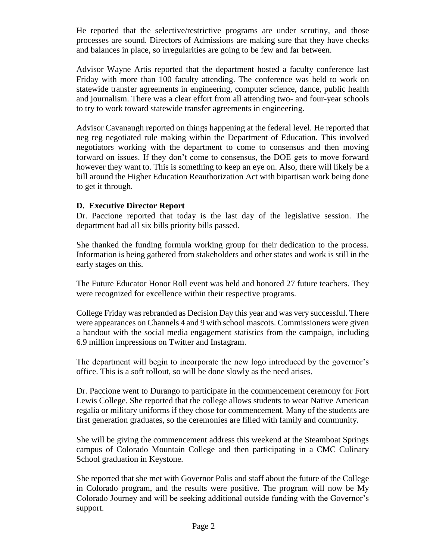He reported that the selective/restrictive programs are under scrutiny, and those processes are sound. Directors of Admissions are making sure that they have checks and balances in place, so irregularities are going to be few and far between.

Advisor Wayne Artis reported that the department hosted a faculty conference last Friday with more than 100 faculty attending. The conference was held to work on statewide transfer agreements in engineering, computer science, dance, public health and journalism. There was a clear effort from all attending two- and four-year schools to try to work toward statewide transfer agreements in engineering.

Advisor Cavanaugh reported on things happening at the federal level. He reported that neg reg negotiated rule making within the Department of Education. This involved negotiators working with the department to come to consensus and then moving forward on issues. If they don't come to consensus, the DOE gets to move forward however they want to. This is something to keep an eye on. Also, there will likely be a bill around the Higher Education Reauthorization Act with bipartisan work being done to get it through.

# **D. Executive Director Report**

Dr. Paccione reported that today is the last day of the legislative session. The department had all six bills priority bills passed.

She thanked the funding formula working group for their dedication to the process. Information is being gathered from stakeholders and other states and work is still in the early stages on this.

The Future Educator Honor Roll event was held and honored 27 future teachers. They were recognized for excellence within their respective programs.

College Friday was rebranded as Decision Day this year and was very successful. There were appearances on Channels 4 and 9 with school mascots. Commissioners were given a handout with the social media engagement statistics from the campaign, including 6.9 million impressions on Twitter and Instagram.

The department will begin to incorporate the new logo introduced by the governor's office. This is a soft rollout, so will be done slowly as the need arises.

Dr. Paccione went to Durango to participate in the commencement ceremony for Fort Lewis College. She reported that the college allows students to wear Native American regalia or military uniforms if they chose for commencement. Many of the students are first generation graduates, so the ceremonies are filled with family and community.

She will be giving the commencement address this weekend at the Steamboat Springs campus of Colorado Mountain College and then participating in a CMC Culinary School graduation in Keystone.

She reported that she met with Governor Polis and staff about the future of the College in Colorado program, and the results were positive. The program will now be My Colorado Journey and will be seeking additional outside funding with the Governor's support.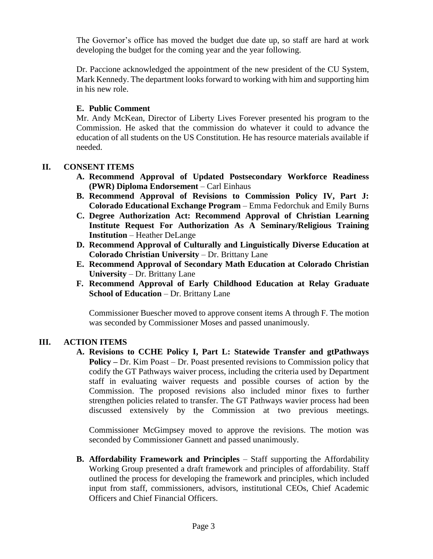The Governor's office has moved the budget due date up, so staff are hard at work developing the budget for the coming year and the year following.

Dr. Paccione acknowledged the appointment of the new president of the CU System, Mark Kennedy. The department looks forward to working with him and supporting him in his new role.

# **E. Public Comment**

Mr. Andy McKean, Director of Liberty Lives Forever presented his program to the Commission. He asked that the commission do whatever it could to advance the education of all students on the US Constitution. He has resource materials available if needed.

# **II. CONSENT ITEMS**

- **A. Recommend Approval of Updated Postsecondary Workforce Readiness (PWR) Diploma Endorsement** – Carl Einhaus
- **B. Recommend Approval of Revisions to Commission Policy IV, Part J: Colorado Educational Exchange Program** – Emma Fedorchuk and Emily Burns
- **C. Degree Authorization Act: Recommend Approval of Christian Learning Institute Request For Authorization As A Seminary/Religious Training Institution** – Heather DeLange
- **D. Recommend Approval of Culturally and Linguistically Diverse Education at Colorado Christian University** *–* Dr. Brittany Lane
- **E. Recommend Approval of Secondary Math Education at Colorado Christian University** *–* Dr. Brittany Lane
- **F. Recommend Approval of Early Childhood Education at Relay Graduate School of Education** *–* Dr. Brittany Lane

Commissioner Buescher moved to approve consent items A through F. The motion was seconded by Commissioner Moses and passed unanimously.

# **III. ACTION ITEMS**

**A. Revisions to CCHE Policy I, Part L: Statewide Transfer and gtPathways Policy –** Dr. Kim Poast – Dr. Poast presented revisions to Commission policy that codify the GT Pathways waiver process, including the criteria used by Department staff in evaluating waiver requests and possible courses of action by the Commission. The proposed revisions also included minor fixes to further strengthen policies related to transfer. The GT Pathways wavier process had been discussed extensively by the Commission at two previous meetings.

Commissioner McGimpsey moved to approve the revisions. The motion was seconded by Commissioner Gannett and passed unanimously.

**B. Affordability Framework and Principles** – Staff supporting the Affordability Working Group presented a draft framework and principles of affordability. Staff outlined the process for developing the framework and principles, which included input from staff, commissioners, advisors, institutional CEOs, Chief Academic Officers and Chief Financial Officers.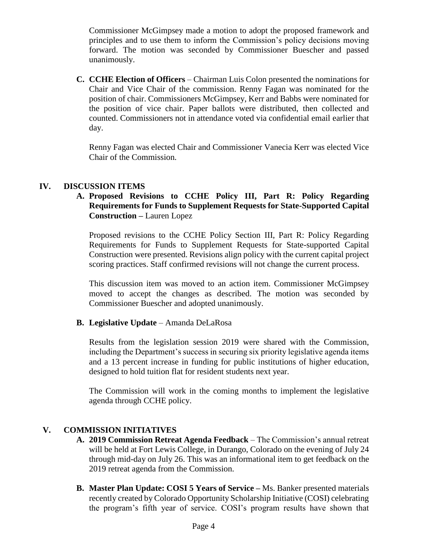Commissioner McGimpsey made a motion to adopt the proposed framework and principles and to use them to inform the Commission's policy decisions moving forward. The motion was seconded by Commissioner Buescher and passed unanimously.

**C. CCHE Election of Officers** – Chairman Luis Colon presented the nominations for Chair and Vice Chair of the commission. Renny Fagan was nominated for the position of chair. Commissioners McGimpsey, Kerr and Babbs were nominated for the position of vice chair. Paper ballots were distributed, then collected and counted. Commissioners not in attendance voted via confidential email earlier that day.

Renny Fagan was elected Chair and Commissioner Vanecia Kerr was elected Vice Chair of the Commission.

## **IV. DISCUSSION ITEMS**

## **A. Proposed Revisions to CCHE Policy III, Part R: Policy Regarding Requirements for Funds to Supplement Requests for State-Supported Capital Construction –** Lauren Lopez

Proposed revisions to the CCHE Policy Section III, Part R: Policy Regarding Requirements for Funds to Supplement Requests for State-supported Capital Construction were presented. Revisions align policy with the current capital project scoring practices. Staff confirmed revisions will not change the current process.

This discussion item was moved to an action item. Commissioner McGimpsey moved to accept the changes as described. The motion was seconded by Commissioner Buescher and adopted unanimously.

### **B. Legislative Update** – Amanda DeLaRosa

Results from the legislation session 2019 were shared with the Commission, including the Department's success in securing six priority legislative agenda items and a 13 percent increase in funding for public institutions of higher education, designed to hold tuition flat for resident students next year.

The Commission will work in the coming months to implement the legislative agenda through CCHE policy.

# **V. COMMISSION INITIATIVES**

- **A. 2019 Commission Retreat Agenda Feedback** The Commission's annual retreat will be held at Fort Lewis College, in Durango, Colorado on the evening of July 24 through mid-day on July 26. This was an informational item to get feedback on the 2019 retreat agenda from the Commission.
- **B. Master Plan Update: COSI 5 Years of Service –** Ms. Banker presented materials recently created by Colorado Opportunity Scholarship Initiative (COSI) celebrating the program's fifth year of service. COSI's program results have shown that